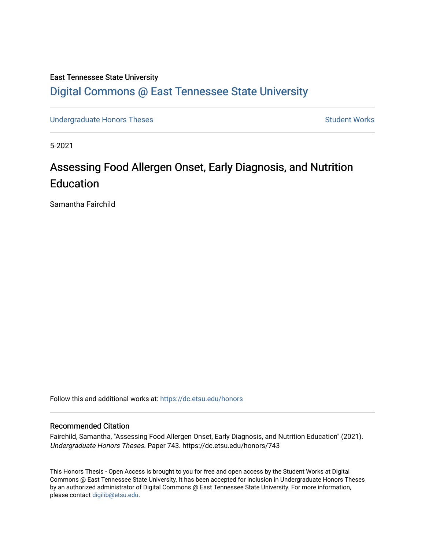# East Tennessee State University [Digital Commons @ East Tennessee State University](https://dc.etsu.edu/)

[Undergraduate Honors Theses](https://dc.etsu.edu/honors) **Student Works** Student Works

5-2021

# Assessing Food Allergen Onset, Early Diagnosis, and Nutrition Education

Samantha Fairchild

Follow this and additional works at: [https://dc.etsu.edu/honors](https://dc.etsu.edu/honors?utm_source=dc.etsu.edu%2Fhonors%2F743&utm_medium=PDF&utm_campaign=PDFCoverPages)

#### Recommended Citation

Fairchild, Samantha, "Assessing Food Allergen Onset, Early Diagnosis, and Nutrition Education" (2021). Undergraduate Honors Theses. Paper 743. https://dc.etsu.edu/honors/743

This Honors Thesis - Open Access is brought to you for free and open access by the Student Works at Digital Commons @ East Tennessee State University. It has been accepted for inclusion in Undergraduate Honors Theses by an authorized administrator of Digital Commons @ East Tennessee State University. For more information, please contact [digilib@etsu.edu.](mailto:digilib@etsu.edu)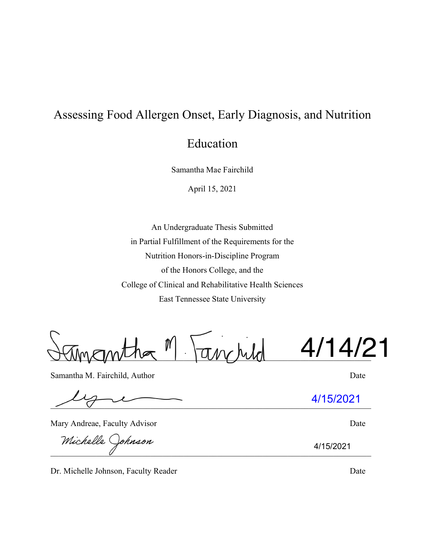# Assessing Food Allergen Onset, Early Diagnosis, and Nutrition

Education

Samantha Mae Fairchild

April 15, 2021

An Undergraduate Thesis Submitted in Partial Fulfillment of the Requirements for the Nutrition Honors-in-Discipline Program of the Honors College, and the College of Clinical and Rehabilitative Health Sciences East Tennessee State University

 $\pi_{M}$ ,  $h$ ,  $h$ 4/14/21

Samantha M. Fairchild, Author Date

 $\bigvee$   $\bigwedge$   $\bigwedge$   $\bigwedge$   $\bigwedge$   $\bigwedge$   $\bigwedge$   $\bigwedge$   $\bigwedge$   $\bigwedge$   $\bigwedge$   $\bigwedge$   $\bigwedge$   $\bigwedge$   $\bigwedge$   $\bigwedge$   $\bigwedge$   $\bigwedge$   $\bigwedge$   $\bigwedge$   $\bigwedge$   $\bigwedge$   $\bigwedge$   $\bigwedge$   $\bigwedge$   $\bigwedge$   $\bigwedge$   $\bigwedge$   $\bigwedge$   $\bigwedge$   $\bigwedge$   $\bigw$ 

Mary Andreae, Faculty Advisor Date

Michelle Johnson

Dr. Michelle Johnson, Faculty Reader Date Date

4/15/2021

4/15/2021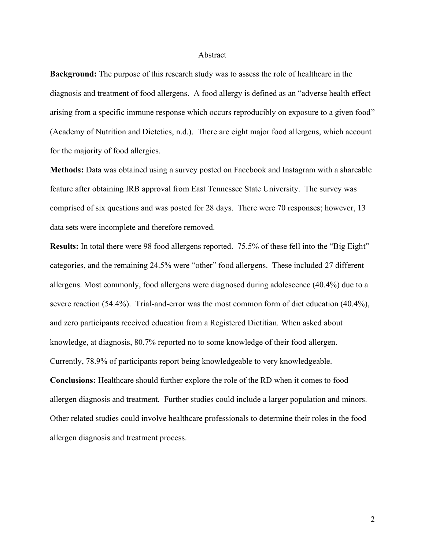#### Abstract

**Background:** The purpose of this research study was to assess the role of healthcare in the diagnosis and treatment of food allergens. A food allergy is defined as an "adverse health effect arising from a specific immune response which occurs reproducibly on exposure to a given food" (Academy of Nutrition and Dietetics, n.d.). There are eight major food allergens, which account for the majority of food allergies.

**Methods:** Data was obtained using a survey posted on Facebook and Instagram with a shareable feature after obtaining IRB approval from East Tennessee State University. The survey was comprised of six questions and was posted for 28 days. There were 70 responses; however, 13 data sets were incomplete and therefore removed.

**Results:** In total there were 98 food allergens reported. 75.5% of these fell into the "Big Eight" categories, and the remaining 24.5% were "other" food allergens. These included 27 different allergens. Most commonly, food allergens were diagnosed during adolescence (40.4%) due to a severe reaction (54.4%). Trial-and-error was the most common form of diet education (40.4%), and zero participants received education from a Registered Dietitian. When asked about knowledge, at diagnosis, 80.7% reported no to some knowledge of their food allergen. Currently, 78.9% of participants report being knowledgeable to very knowledgeable. **Conclusions:** Healthcare should further explore the role of the RD when it comes to food allergen diagnosis and treatment. Further studies could include a larger population and minors. Other related studies could involve healthcare professionals to determine their roles in the food allergen diagnosis and treatment process.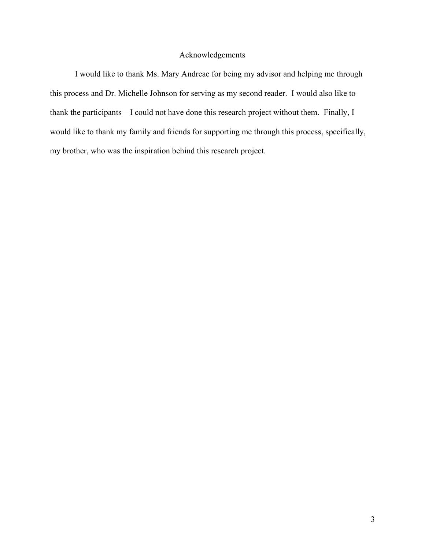#### Acknowledgements

I would like to thank Ms. Mary Andreae for being my advisor and helping me through this process and Dr. Michelle Johnson for serving as my second reader. I would also like to thank the participants—I could not have done this research project without them. Finally, I would like to thank my family and friends for supporting me through this process, specifically, my brother, who was the inspiration behind this research project.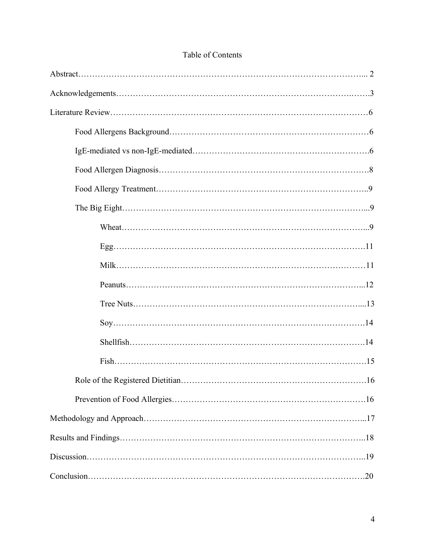# Table of Contents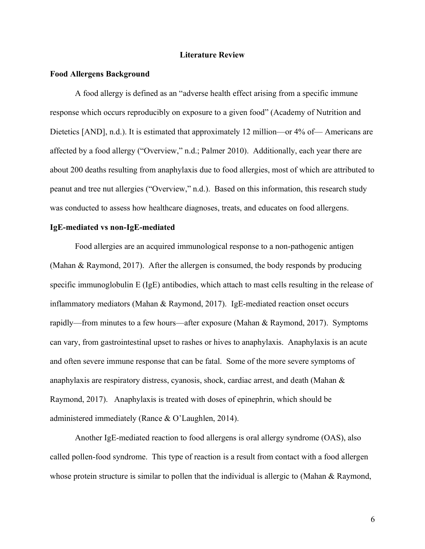#### **Literature Review**

#### **Food Allergens Background**

A food allergy is defined as an "adverse health effect arising from a specific immune response which occurs reproducibly on exposure to a given food" (Academy of Nutrition and Dietetics [AND], n.d.). It is estimated that approximately 12 million—or 4% of— Americans are affected by a food allergy ("Overview," n.d.; Palmer 2010). Additionally, each year there are about 200 deaths resulting from anaphylaxis due to food allergies, most of which are attributed to peanut and tree nut allergies ("Overview," n.d.). Based on this information, this research study was conducted to assess how healthcare diagnoses, treats, and educates on food allergens.

#### **IgE-mediated vs non-IgE-mediated**

Food allergies are an acquired immunological response to a non-pathogenic antigen (Mahan & Raymond, 2017). After the allergen is consumed, the body responds by producing specific immunoglobulin E (IgE) antibodies, which attach to mast cells resulting in the release of inflammatory mediators (Mahan & Raymond, 2017). IgE-mediated reaction onset occurs rapidly—from minutes to a few hours—after exposure (Mahan & Raymond, 2017). Symptoms can vary, from gastrointestinal upset to rashes or hives to anaphylaxis. Anaphylaxis is an acute and often severe immune response that can be fatal. Some of the more severe symptoms of anaphylaxis are respiratory distress, cyanosis, shock, cardiac arrest, and death (Mahan & Raymond, 2017). Anaphylaxis is treated with doses of epinephrin, which should be administered immediately (Rance & O'Laughlen, 2014).

Another IgE-mediated reaction to food allergens is oral allergy syndrome (OAS), also called pollen-food syndrome. This type of reaction is a result from contact with a food allergen whose protein structure is similar to pollen that the individual is allergic to (Mahan & Raymond,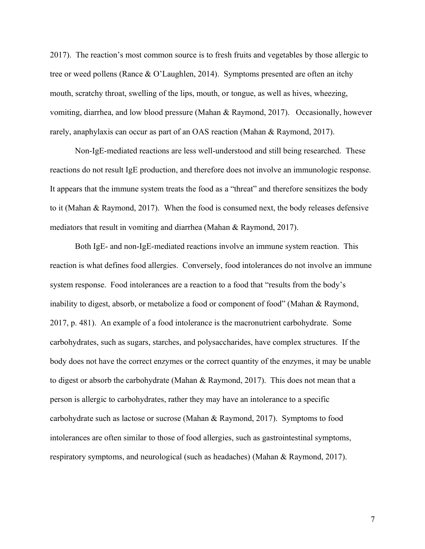2017). The reaction's most common source is to fresh fruits and vegetables by those allergic to tree or weed pollens (Rance & O'Laughlen, 2014). Symptoms presented are often an itchy mouth, scratchy throat, swelling of the lips, mouth, or tongue, as well as hives, wheezing, vomiting, diarrhea, and low blood pressure (Mahan & Raymond, 2017). Occasionally, however rarely, anaphylaxis can occur as part of an OAS reaction (Mahan & Raymond, 2017).

Non-IgE-mediated reactions are less well-understood and still being researched. These reactions do not result IgE production, and therefore does not involve an immunologic response. It appears that the immune system treats the food as a "threat" and therefore sensitizes the body to it (Mahan & Raymond, 2017). When the food is consumed next, the body releases defensive mediators that result in vomiting and diarrhea (Mahan & Raymond, 2017).

Both IgE- and non-IgE-mediated reactions involve an immune system reaction. This reaction is what defines food allergies. Conversely, food intolerances do not involve an immune system response. Food intolerances are a reaction to a food that "results from the body's inability to digest, absorb, or metabolize a food or component of food" (Mahan & Raymond, 2017, p. 481). An example of a food intolerance is the macronutrient carbohydrate. Some carbohydrates, such as sugars, starches, and polysaccharides, have complex structures. If the body does not have the correct enzymes or the correct quantity of the enzymes, it may be unable to digest or absorb the carbohydrate (Mahan & Raymond, 2017). This does not mean that a person is allergic to carbohydrates, rather they may have an intolerance to a specific carbohydrate such as lactose or sucrose (Mahan & Raymond, 2017). Symptoms to food intolerances are often similar to those of food allergies, such as gastrointestinal symptoms, respiratory symptoms, and neurological (such as headaches) (Mahan & Raymond, 2017).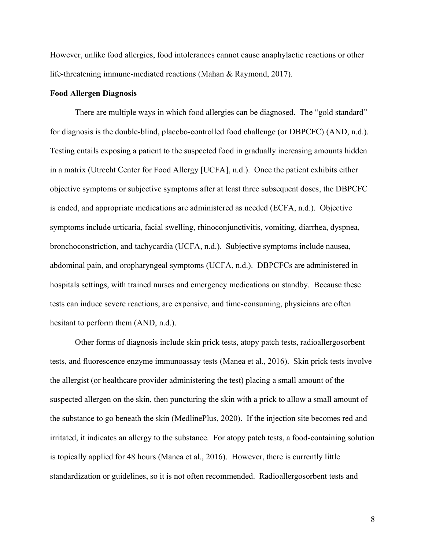However, unlike food allergies, food intolerances cannot cause anaphylactic reactions or other life-threatening immune-mediated reactions (Mahan & Raymond, 2017).

#### **Food Allergen Diagnosis**

There are multiple ways in which food allergies can be diagnosed. The "gold standard" for diagnosis is the double-blind, placebo-controlled food challenge (or DBPCFC) (AND, n.d.). Testing entails exposing a patient to the suspected food in gradually increasing amounts hidden in a matrix (Utrecht Center for Food Allergy [UCFA], n.d.). Once the patient exhibits either objective symptoms or subjective symptoms after at least three subsequent doses, the DBPCFC is ended, and appropriate medications are administered as needed (ECFA, n.d.). Objective symptoms include urticaria, facial swelling, rhinoconjunctivitis, vomiting, diarrhea, dyspnea, bronchoconstriction, and tachycardia (UCFA, n.d.). Subjective symptoms include nausea, abdominal pain, and oropharyngeal symptoms (UCFA, n.d.). DBPCFCs are administered in hospitals settings, with trained nurses and emergency medications on standby. Because these tests can induce severe reactions, are expensive, and time-consuming, physicians are often hesitant to perform them (AND, n.d.).

Other forms of diagnosis include skin prick tests, atopy patch tests, radioallergosorbent tests, and fluorescence enzyme immunoassay tests (Manea et al., 2016). Skin prick tests involve the allergist (or healthcare provider administering the test) placing a small amount of the suspected allergen on the skin, then puncturing the skin with a prick to allow a small amount of the substance to go beneath the skin (MedlinePlus, 2020). If the injection site becomes red and irritated, it indicates an allergy to the substance. For atopy patch tests, a food-containing solution is topically applied for 48 hours (Manea et al., 2016). However, there is currently little standardization or guidelines, so it is not often recommended. Radioallergosorbent tests and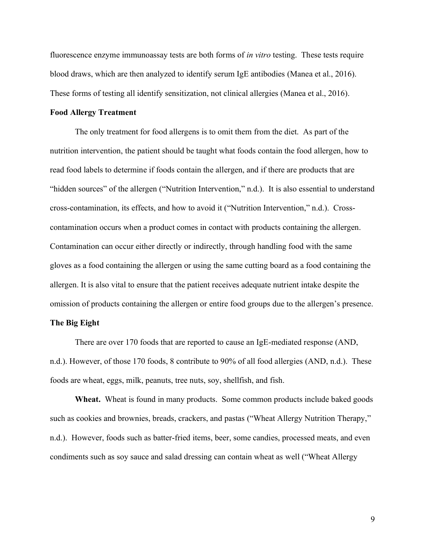fluorescence enzyme immunoassay tests are both forms of *in vitro* testing. These tests require blood draws, which are then analyzed to identify serum IgE antibodies (Manea et al., 2016). These forms of testing all identify sensitization, not clinical allergies (Manea et al., 2016).

#### **Food Allergy Treatment**

The only treatment for food allergens is to omit them from the diet. As part of the nutrition intervention, the patient should be taught what foods contain the food allergen, how to read food labels to determine if foods contain the allergen, and if there are products that are "hidden sources" of the allergen ("Nutrition Intervention," n.d.). It is also essential to understand cross-contamination, its effects, and how to avoid it ("Nutrition Intervention," n.d.). Crosscontamination occurs when a product comes in contact with products containing the allergen. Contamination can occur either directly or indirectly, through handling food with the same gloves as a food containing the allergen or using the same cutting board as a food containing the allergen. It is also vital to ensure that the patient receives adequate nutrient intake despite the omission of products containing the allergen or entire food groups due to the allergen's presence.

#### **The Big Eight**

There are over 170 foods that are reported to cause an IgE-mediated response (AND, n.d.). However, of those 170 foods, 8 contribute to 90% of all food allergies (AND, n.d.). These foods are wheat, eggs, milk, peanuts, tree nuts, soy, shellfish, and fish.

**Wheat.** Wheat is found in many products. Some common products include baked goods such as cookies and brownies, breads, crackers, and pastas ("Wheat Allergy Nutrition Therapy," n.d.). However, foods such as batter-fried items, beer, some candies, processed meats, and even condiments such as soy sauce and salad dressing can contain wheat as well ("Wheat Allergy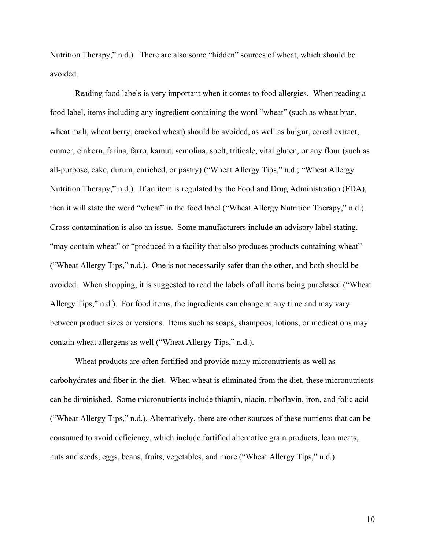Nutrition Therapy," n.d.). There are also some "hidden" sources of wheat, which should be avoided.

Reading food labels is very important when it comes to food allergies. When reading a food label, items including any ingredient containing the word "wheat" (such as wheat bran, wheat malt, wheat berry, cracked wheat) should be avoided, as well as bulgur, cereal extract, emmer, einkorn, farina, farro, kamut, semolina, spelt, triticale, vital gluten, or any flour (such as all-purpose, cake, durum, enriched, or pastry) ("Wheat Allergy Tips," n.d.; "Wheat Allergy Nutrition Therapy," n.d.). If an item is regulated by the Food and Drug Administration (FDA), then it will state the word "wheat" in the food label ("Wheat Allergy Nutrition Therapy," n.d.). Cross-contamination is also an issue. Some manufacturers include an advisory label stating, "may contain wheat" or "produced in a facility that also produces products containing wheat" ("Wheat Allergy Tips," n.d.). One is not necessarily safer than the other, and both should be avoided. When shopping, it is suggested to read the labels of all items being purchased ("Wheat Allergy Tips," n.d.). For food items, the ingredients can change at any time and may vary between product sizes or versions. Items such as soaps, shampoos, lotions, or medications may contain wheat allergens as well ("Wheat Allergy Tips," n.d.).

Wheat products are often fortified and provide many micronutrients as well as carbohydrates and fiber in the diet. When wheat is eliminated from the diet, these micronutrients can be diminished. Some micronutrients include thiamin, niacin, riboflavin, iron, and folic acid ("Wheat Allergy Tips," n.d.). Alternatively, there are other sources of these nutrients that can be consumed to avoid deficiency, which include fortified alternative grain products, lean meats, nuts and seeds, eggs, beans, fruits, vegetables, and more ("Wheat Allergy Tips," n.d.).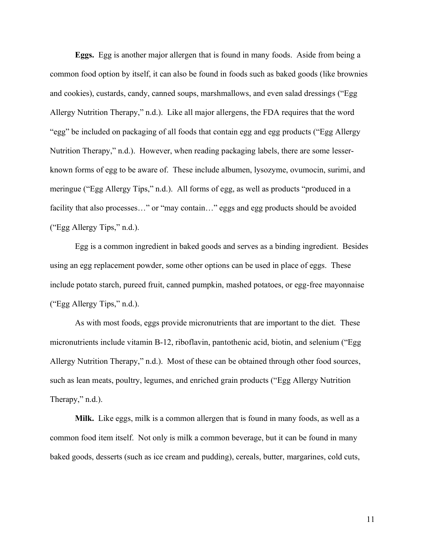**Eggs.** Egg is another major allergen that is found in many foods. Aside from being a common food option by itself, it can also be found in foods such as baked goods (like brownies and cookies), custards, candy, canned soups, marshmallows, and even salad dressings ("Egg Allergy Nutrition Therapy," n.d.). Like all major allergens, the FDA requires that the word "egg" be included on packaging of all foods that contain egg and egg products ("Egg Allergy Nutrition Therapy," n.d.). However, when reading packaging labels, there are some lesserknown forms of egg to be aware of. These include albumen, lysozyme, ovumocin, surimi, and meringue ("Egg Allergy Tips," n.d.). All forms of egg, as well as products "produced in a facility that also processes..." or "may contain..." eggs and egg products should be avoided ("Egg Allergy Tips," n.d.).

Egg is a common ingredient in baked goods and serves as a binding ingredient. Besides using an egg replacement powder, some other options can be used in place of eggs. These include potato starch, pureed fruit, canned pumpkin, mashed potatoes, or egg-free mayonnaise ("Egg Allergy Tips," n.d.).

As with most foods, eggs provide micronutrients that are important to the diet. These micronutrients include vitamin B-12, riboflavin, pantothenic acid, biotin, and selenium ("Egg Allergy Nutrition Therapy," n.d.). Most of these can be obtained through other food sources, such as lean meats, poultry, legumes, and enriched grain products ("Egg Allergy Nutrition Therapy," n.d.).

**Milk.** Like eggs, milk is a common allergen that is found in many foods, as well as a common food item itself. Not only is milk a common beverage, but it can be found in many baked goods, desserts (such as ice cream and pudding), cereals, butter, margarines, cold cuts,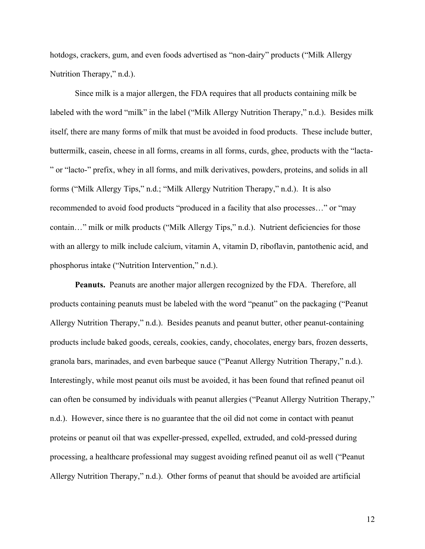hotdogs, crackers, gum, and even foods advertised as "non-dairy" products ("Milk Allergy Nutrition Therapy," n.d.).

Since milk is a major allergen, the FDA requires that all products containing milk be labeled with the word "milk" in the label ("Milk Allergy Nutrition Therapy," n.d.). Besides milk itself, there are many forms of milk that must be avoided in food products. These include butter, buttermilk, casein, cheese in all forms, creams in all forms, curds, ghee, products with the "lacta- " or "lacto-" prefix, whey in all forms, and milk derivatives, powders, proteins, and solids in all forms ("Milk Allergy Tips," n.d.; "Milk Allergy Nutrition Therapy," n.d.). It is also recommended to avoid food products "produced in a facility that also processes…" or "may contain…" milk or milk products ("Milk Allergy Tips," n.d.). Nutrient deficiencies for those with an allergy to milk include calcium, vitamin A, vitamin D, riboflavin, pantothenic acid, and phosphorus intake ("Nutrition Intervention," n.d.).

**Peanuts.** Peanuts are another major allergen recognized by the FDA. Therefore, all products containing peanuts must be labeled with the word "peanut" on the packaging ("Peanut Allergy Nutrition Therapy," n.d.). Besides peanuts and peanut butter, other peanut-containing products include baked goods, cereals, cookies, candy, chocolates, energy bars, frozen desserts, granola bars, marinades, and even barbeque sauce ("Peanut Allergy Nutrition Therapy," n.d.). Interestingly, while most peanut oils must be avoided, it has been found that refined peanut oil can often be consumed by individuals with peanut allergies ("Peanut Allergy Nutrition Therapy," n.d.). However, since there is no guarantee that the oil did not come in contact with peanut proteins or peanut oil that was expeller-pressed, expelled, extruded, and cold-pressed during processing, a healthcare professional may suggest avoiding refined peanut oil as well ("Peanut Allergy Nutrition Therapy," n.d.). Other forms of peanut that should be avoided are artificial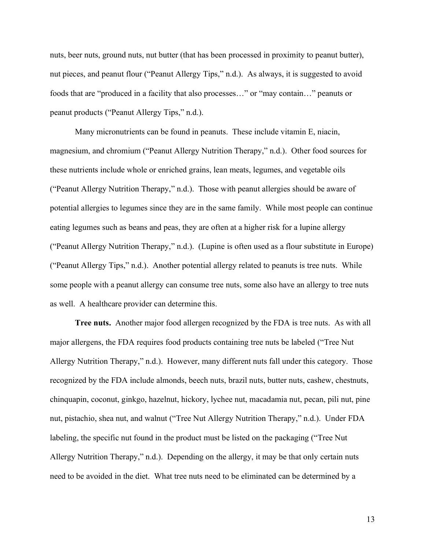nuts, beer nuts, ground nuts, nut butter (that has been processed in proximity to peanut butter), nut pieces, and peanut flour ("Peanut Allergy Tips," n.d.). As always, it is suggested to avoid foods that are "produced in a facility that also processes…" or "may contain…" peanuts or peanut products ("Peanut Allergy Tips," n.d.).

Many micronutrients can be found in peanuts. These include vitamin E, niacin, magnesium, and chromium ("Peanut Allergy Nutrition Therapy," n.d.). Other food sources for these nutrients include whole or enriched grains, lean meats, legumes, and vegetable oils ("Peanut Allergy Nutrition Therapy," n.d.). Those with peanut allergies should be aware of potential allergies to legumes since they are in the same family. While most people can continue eating legumes such as beans and peas, they are often at a higher risk for a lupine allergy ("Peanut Allergy Nutrition Therapy," n.d.). (Lupine is often used as a flour substitute in Europe) ("Peanut Allergy Tips," n.d.). Another potential allergy related to peanuts is tree nuts. While some people with a peanut allergy can consume tree nuts, some also have an allergy to tree nuts as well. A healthcare provider can determine this.

**Tree nuts.** Another major food allergen recognized by the FDA is tree nuts. As with all major allergens, the FDA requires food products containing tree nuts be labeled ("Tree Nut Allergy Nutrition Therapy," n.d.). However, many different nuts fall under this category. Those recognized by the FDA include almonds, beech nuts, brazil nuts, butter nuts, cashew, chestnuts, chinquapin, coconut, ginkgo, hazelnut, hickory, lychee nut, macadamia nut, pecan, pili nut, pine nut, pistachio, shea nut, and walnut ("Tree Nut Allergy Nutrition Therapy," n.d.). Under FDA labeling, the specific nut found in the product must be listed on the packaging ("Tree Nut Allergy Nutrition Therapy," n.d.). Depending on the allergy, it may be that only certain nuts need to be avoided in the diet. What tree nuts need to be eliminated can be determined by a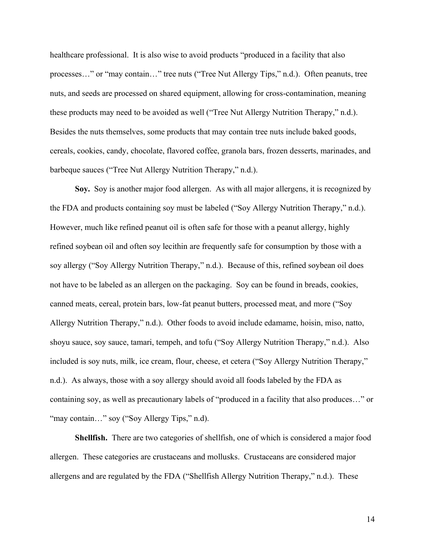healthcare professional. It is also wise to avoid products "produced in a facility that also processes…" or "may contain…" tree nuts ("Tree Nut Allergy Tips," n.d.). Often peanuts, tree nuts, and seeds are processed on shared equipment, allowing for cross-contamination, meaning these products may need to be avoided as well ("Tree Nut Allergy Nutrition Therapy," n.d.). Besides the nuts themselves, some products that may contain tree nuts include baked goods, cereals, cookies, candy, chocolate, flavored coffee, granola bars, frozen desserts, marinades, and barbeque sauces ("Tree Nut Allergy Nutrition Therapy," n.d.).

**Soy.** Soy is another major food allergen. As with all major allergens, it is recognized by the FDA and products containing soy must be labeled ("Soy Allergy Nutrition Therapy," n.d.). However, much like refined peanut oil is often safe for those with a peanut allergy, highly refined soybean oil and often soy lecithin are frequently safe for consumption by those with a soy allergy ("Soy Allergy Nutrition Therapy," n.d.). Because of this, refined soybean oil does not have to be labeled as an allergen on the packaging. Soy can be found in breads, cookies, canned meats, cereal, protein bars, low-fat peanut butters, processed meat, and more ("Soy Allergy Nutrition Therapy," n.d.). Other foods to avoid include edamame, hoisin, miso, natto, shoyu sauce, soy sauce, tamari, tempeh, and tofu ("Soy Allergy Nutrition Therapy," n.d.). Also included is soy nuts, milk, ice cream, flour, cheese, et cetera ("Soy Allergy Nutrition Therapy," n.d.). As always, those with a soy allergy should avoid all foods labeled by the FDA as containing soy, as well as precautionary labels of "produced in a facility that also produces…" or "may contain..." soy ("Soy Allergy Tips," n.d).

**Shellfish.** There are two categories of shellfish, one of which is considered a major food allergen. These categories are crustaceans and mollusks. Crustaceans are considered major allergens and are regulated by the FDA ("Shellfish Allergy Nutrition Therapy," n.d.). These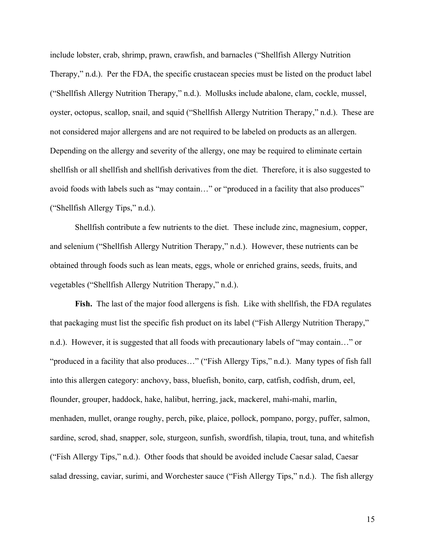include lobster, crab, shrimp, prawn, crawfish, and barnacles ("Shellfish Allergy Nutrition Therapy," n.d.). Per the FDA, the specific crustacean species must be listed on the product label ("Shellfish Allergy Nutrition Therapy," n.d.). Mollusks include abalone, clam, cockle, mussel, oyster, octopus, scallop, snail, and squid ("Shellfish Allergy Nutrition Therapy," n.d.). These are not considered major allergens and are not required to be labeled on products as an allergen. Depending on the allergy and severity of the allergy, one may be required to eliminate certain shellfish or all shellfish and shellfish derivatives from the diet. Therefore, it is also suggested to avoid foods with labels such as "may contain…" or "produced in a facility that also produces" ("Shellfish Allergy Tips," n.d.).

Shellfish contribute a few nutrients to the diet. These include zinc, magnesium, copper, and selenium ("Shellfish Allergy Nutrition Therapy," n.d.). However, these nutrients can be obtained through foods such as lean meats, eggs, whole or enriched grains, seeds, fruits, and vegetables ("Shellfish Allergy Nutrition Therapy," n.d.).

**Fish.** The last of the major food allergens is fish. Like with shellfish, the FDA regulates that packaging must list the specific fish product on its label ("Fish Allergy Nutrition Therapy," n.d.). However, it is suggested that all foods with precautionary labels of "may contain…" or "produced in a facility that also produces…" ("Fish Allergy Tips," n.d.). Many types of fish fall into this allergen category: anchovy, bass, bluefish, bonito, carp, catfish, codfish, drum, eel, flounder, grouper, haddock, hake, halibut, herring, jack, mackerel, mahi-mahi, marlin, menhaden, mullet, orange roughy, perch, pike, plaice, pollock, pompano, porgy, puffer, salmon, sardine, scrod, shad, snapper, sole, sturgeon, sunfish, swordfish, tilapia, trout, tuna, and whitefish ("Fish Allergy Tips," n.d.). Other foods that should be avoided include Caesar salad, Caesar salad dressing, caviar, surimi, and Worchester sauce ("Fish Allergy Tips," n.d.). The fish allergy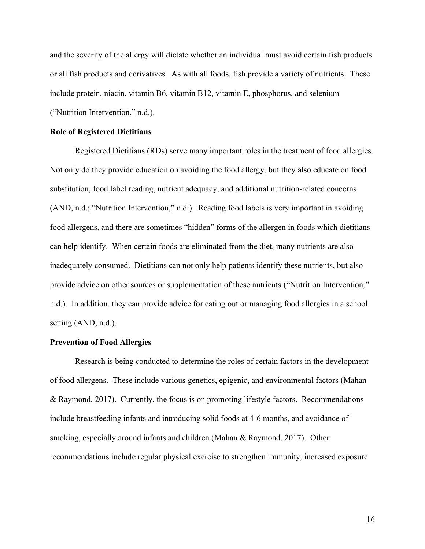and the severity of the allergy will dictate whether an individual must avoid certain fish products or all fish products and derivatives. As with all foods, fish provide a variety of nutrients. These include protein, niacin, vitamin B6, vitamin B12, vitamin E, phosphorus, and selenium ("Nutrition Intervention," n.d.).

#### **Role of Registered Dietitians**

Registered Dietitians (RDs) serve many important roles in the treatment of food allergies. Not only do they provide education on avoiding the food allergy, but they also educate on food substitution, food label reading, nutrient adequacy, and additional nutrition-related concerns (AND, n.d.; "Nutrition Intervention," n.d.). Reading food labels is very important in avoiding food allergens, and there are sometimes "hidden" forms of the allergen in foods which dietitians can help identify. When certain foods are eliminated from the diet, many nutrients are also inadequately consumed. Dietitians can not only help patients identify these nutrients, but also provide advice on other sources or supplementation of these nutrients ("Nutrition Intervention," n.d.). In addition, they can provide advice for eating out or managing food allergies in a school setting (AND, n.d.).

#### **Prevention of Food Allergies**

Research is being conducted to determine the roles of certain factors in the development of food allergens. These include various genetics, epigenic, and environmental factors (Mahan & Raymond, 2017). Currently, the focus is on promoting lifestyle factors. Recommendations include breastfeeding infants and introducing solid foods at 4-6 months, and avoidance of smoking, especially around infants and children (Mahan & Raymond, 2017). Other recommendations include regular physical exercise to strengthen immunity, increased exposure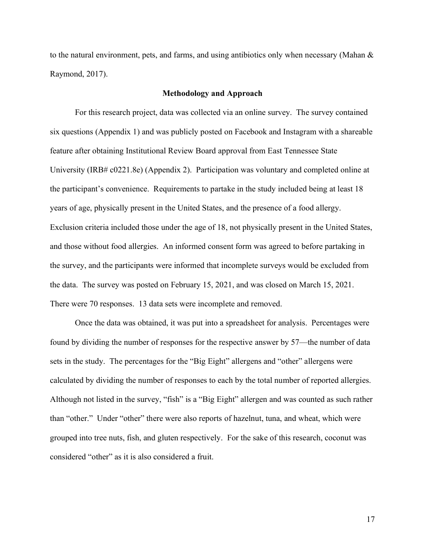to the natural environment, pets, and farms, and using antibiotics only when necessary (Mahan  $\&$ Raymond, 2017).

#### **Methodology and Approach**

For this research project, data was collected via an online survey. The survey contained six questions (Appendix 1) and was publicly posted on Facebook and Instagram with a shareable feature after obtaining Institutional Review Board approval from East Tennessee State University (IRB# c0221.8e) (Appendix 2). Participation was voluntary and completed online at the participant's convenience. Requirements to partake in the study included being at least 18 years of age, physically present in the United States, and the presence of a food allergy. Exclusion criteria included those under the age of 18, not physically present in the United States, and those without food allergies. An informed consent form was agreed to before partaking in the survey, and the participants were informed that incomplete surveys would be excluded from the data. The survey was posted on February 15, 2021, and was closed on March 15, 2021. There were 70 responses. 13 data sets were incomplete and removed.

Once the data was obtained, it was put into a spreadsheet for analysis. Percentages were found by dividing the number of responses for the respective answer by 57—the number of data sets in the study. The percentages for the "Big Eight" allergens and "other" allergens were calculated by dividing the number of responses to each by the total number of reported allergies. Although not listed in the survey, "fish" is a "Big Eight" allergen and was counted as such rather than "other." Under "other" there were also reports of hazelnut, tuna, and wheat, which were grouped into tree nuts, fish, and gluten respectively. For the sake of this research, coconut was considered "other" as it is also considered a fruit.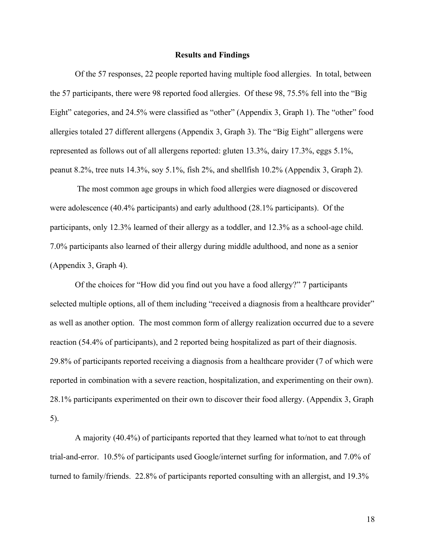#### **Results and Findings**

Of the 57 responses, 22 people reported having multiple food allergies. In total, between the 57 participants, there were 98 reported food allergies. Of these 98, 75.5% fell into the "Big Eight" categories, and 24.5% were classified as "other" (Appendix 3, Graph 1). The "other" food allergies totaled 27 different allergens (Appendix 3, Graph 3). The "Big Eight" allergens were represented as follows out of all allergens reported: gluten 13.3%, dairy 17.3%, eggs 5.1%, peanut 8.2%, tree nuts 14.3%, soy 5.1%, fish 2%, and shellfish 10.2% (Appendix 3, Graph 2).

The most common age groups in which food allergies were diagnosed or discovered were adolescence (40.4% participants) and early adulthood (28.1% participants). Of the participants, only 12.3% learned of their allergy as a toddler, and 12.3% as a school-age child. 7.0% participants also learned of their allergy during middle adulthood, and none as a senior (Appendix 3, Graph 4).

Of the choices for "How did you find out you have a food allergy?" 7 participants selected multiple options, all of them including "received a diagnosis from a healthcare provider" as well as another option. The most common form of allergy realization occurred due to a severe reaction (54.4% of participants), and 2 reported being hospitalized as part of their diagnosis. 29.8% of participants reported receiving a diagnosis from a healthcare provider (7 of which were reported in combination with a severe reaction, hospitalization, and experimenting on their own). 28.1% participants experimented on their own to discover their food allergy. (Appendix 3, Graph 5).

A majority (40.4%) of participants reported that they learned what to/not to eat through trial-and-error. 10.5% of participants used Google/internet surfing for information, and 7.0% of turned to family/friends. 22.8% of participants reported consulting with an allergist, and 19.3%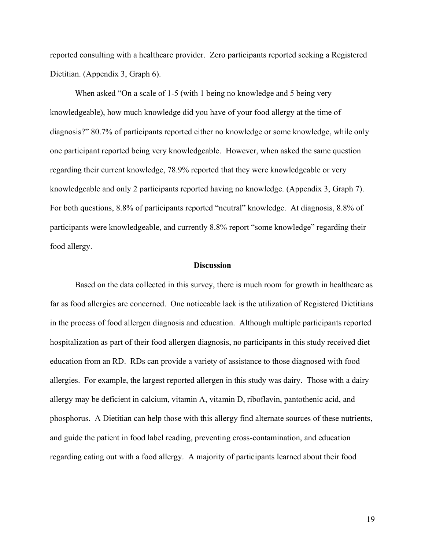reported consulting with a healthcare provider. Zero participants reported seeking a Registered Dietitian. (Appendix 3, Graph 6).

When asked "On a scale of 1-5 (with 1 being no knowledge and 5 being very knowledgeable), how much knowledge did you have of your food allergy at the time of diagnosis?" 80.7% of participants reported either no knowledge or some knowledge, while only one participant reported being very knowledgeable. However, when asked the same question regarding their current knowledge, 78.9% reported that they were knowledgeable or very knowledgeable and only 2 participants reported having no knowledge. (Appendix 3, Graph 7). For both questions, 8.8% of participants reported "neutral" knowledge. At diagnosis, 8.8% of participants were knowledgeable, and currently 8.8% report "some knowledge" regarding their food allergy.

#### **Discussion**

Based on the data collected in this survey, there is much room for growth in healthcare as far as food allergies are concerned. One noticeable lack is the utilization of Registered Dietitians in the process of food allergen diagnosis and education. Although multiple participants reported hospitalization as part of their food allergen diagnosis, no participants in this study received diet education from an RD. RDs can provide a variety of assistance to those diagnosed with food allergies. For example, the largest reported allergen in this study was dairy. Those with a dairy allergy may be deficient in calcium, vitamin A, vitamin D, riboflavin, pantothenic acid, and phosphorus. A Dietitian can help those with this allergy find alternate sources of these nutrients, and guide the patient in food label reading, preventing cross-contamination, and education regarding eating out with a food allergy. A majority of participants learned about their food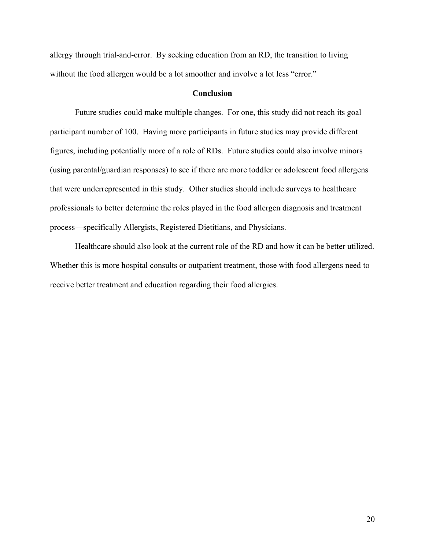allergy through trial-and-error. By seeking education from an RD, the transition to living without the food allergen would be a lot smoother and involve a lot less "error."

#### **Conclusion**

Future studies could make multiple changes. For one, this study did not reach its goal participant number of 100. Having more participants in future studies may provide different figures, including potentially more of a role of RDs. Future studies could also involve minors (using parental/guardian responses) to see if there are more toddler or adolescent food allergens that were underrepresented in this study. Other studies should include surveys to healthcare professionals to better determine the roles played in the food allergen diagnosis and treatment process—specifically Allergists, Registered Dietitians, and Physicians.

Healthcare should also look at the current role of the RD and how it can be better utilized. Whether this is more hospital consults or outpatient treatment, those with food allergens need to receive better treatment and education regarding their food allergies.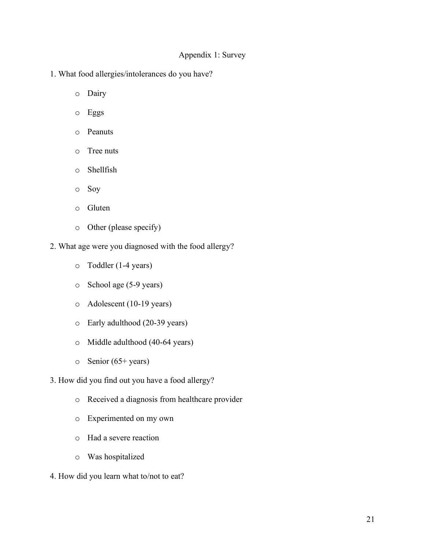### Appendix 1: Survey

- 1. What food allergies/intolerances do you have?
	- o Dairy
	- o Eggs
	- o Peanuts
	- o Tree nuts
	- o Shellfish
	- o Soy
	- o Gluten
	- o Other (please specify)
- 2. What age were you diagnosed with the food allergy?
	- o Toddler (1-4 years)
	- o School age (5-9 years)
	- o Adolescent (10-19 years)
	- o Early adulthood (20-39 years)
	- o Middle adulthood (40-64 years)
	- o Senior (65+ years)
- 3. How did you find out you have a food allergy?
	- o Received a diagnosis from healthcare provider
	- o Experimented on my own
	- o Had a severe reaction
	- o Was hospitalized
- 4. How did you learn what to/not to eat?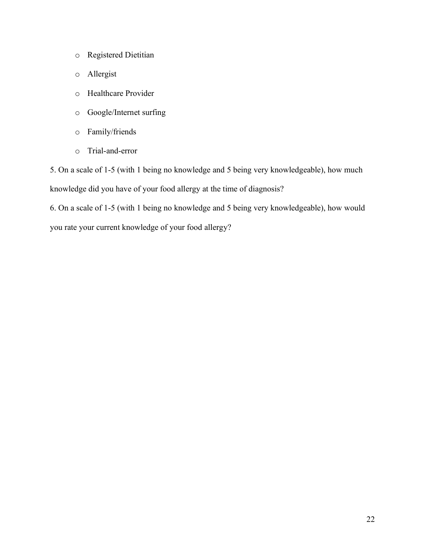- o Registered Dietitian
- o Allergist
- o Healthcare Provider
- o Google/Internet surfing
- o Family/friends
- o Trial-and-error

5. On a scale of 1-5 (with 1 being no knowledge and 5 being very knowledgeable), how much knowledge did you have of your food allergy at the time of diagnosis?

6. On a scale of 1-5 (with 1 being no knowledge and 5 being very knowledgeable), how would you rate your current knowledge of your food allergy?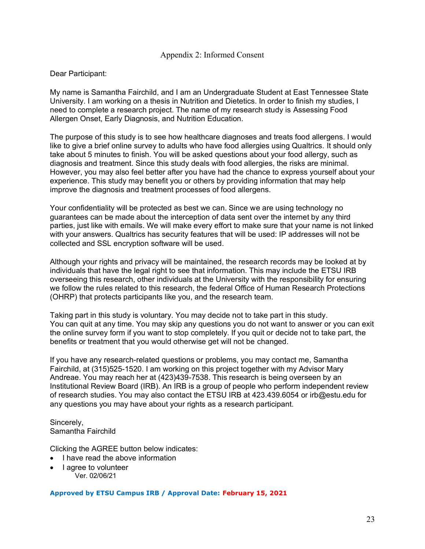#### Appendix 2: Informed Consent

#### Dear Participant:

My name is Samantha Fairchild, and I am an Undergraduate Student at East Tennessee State University. I am working on a thesis in Nutrition and Dietetics. In order to finish my studies, I need to complete a research project. The name of my research study is Assessing Food Allergen Onset, Early Diagnosis, and Nutrition Education.

The purpose of this study is to see how healthcare diagnoses and treats food allergens. I would like to give a brief online survey to adults who have food allergies using Qualtrics. It should only take about 5 minutes to finish. You will be asked questions about your food allergy, such as diagnosis and treatment. Since this study deals with food allergies, the risks are minimal. However, you may also feel better after you have had the chance to express yourself about your experience. This study may benefit you or others by providing information that may help improve the diagnosis and treatment processes of food allergens.

Your confidentiality will be protected as best we can. Since we are using technology no guarantees can be made about the interception of data sent over the internet by any third parties, just like with emails. We will make every effort to make sure that your name is not linked with your answers. Qualtrics has security features that will be used: IP addresses will not be collected and SSL encryption software will be used.

Although your rights and privacy will be maintained, the research records may be looked at by individuals that have the legal right to see that information. This may include the ETSU IRB overseeing this research, other individuals at the University with the responsibility for ensuring we follow the rules related to this research, the federal Office of Human Research Protections (OHRP) that protects participants like you, and the research team.

Taking part in this study is voluntary. You may decide not to take part in this study. You can quit at any time. You may skip any questions you do not want to answer or you can exit the online survey form if you want to stop completely. If you quit or decide not to take part, the benefits or treatment that you would otherwise get will not be changed.

If you have any research-related questions or problems, you may contact me, Samantha Fairchild, at (315)525-1520. I am working on this project together with my Advisor Mary Andreae. You may reach her at (423)439-7538. This research is being overseen by an Institutional Review Board (IRB). An IRB is a group of people who perform independent review of research studies. You may also contact the ETSU IRB at 423.439.6054 or irb@estu.edu for any questions you may have about your rights as a research participant.

Sincerely, Samantha Fairchild

Clicking the AGREE button below indicates:

- I have read the above information
- I agree to volunteer Ver. 02/06/21

**Approved by ETSU Campus IRB / Approval Date: February 15, 2021**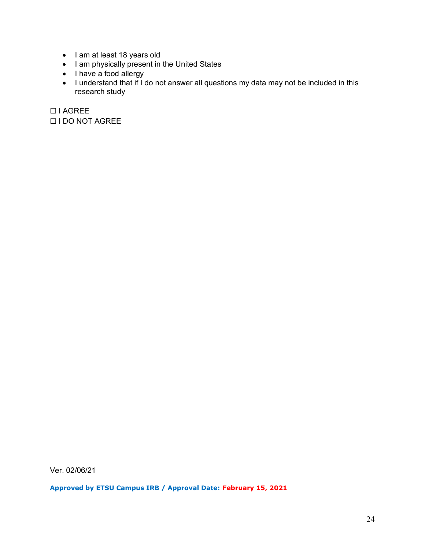- I am at least 18 years old
- I am physically present in the United States
- I have a food allergy
- I understand that if I do not answer all questions my data may not be included in this research study

☐ I AGREE ☐ I DO NOT AGREE

Ver. 02/06/21

**Approved by ETSU Campus IRB / Approval Date: February 15, 2021**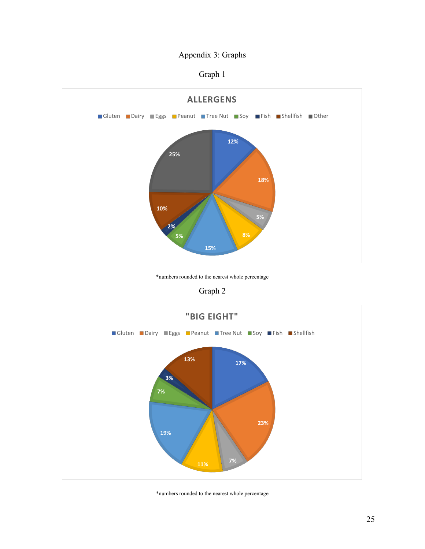# Appendix 3: Graphs

Graph 1



\*numbers rounded to the nearest whole percentage

## Graph 2



\*numbers rounded to the nearest whole percentage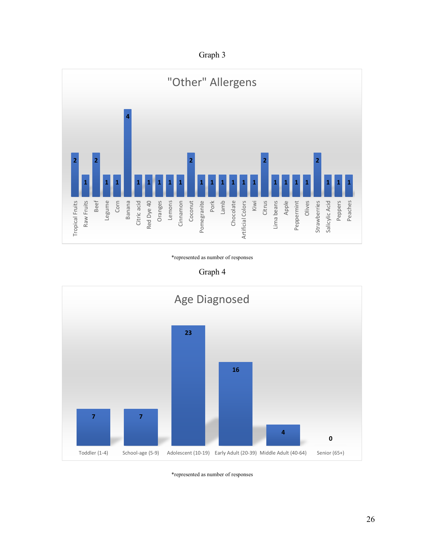Graph 3



\*represented as number of responses

Graph 4



\*represented as number of responses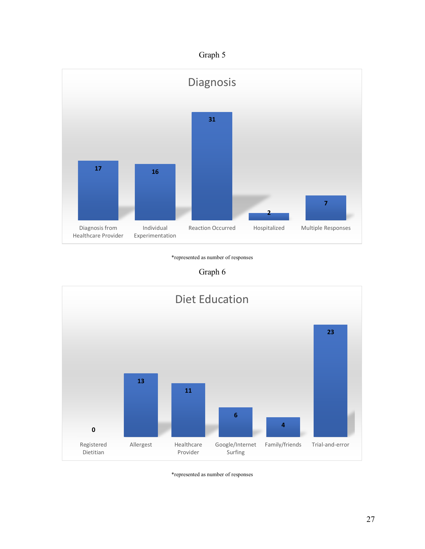



\*represented as number of responses





\*represented as number of responses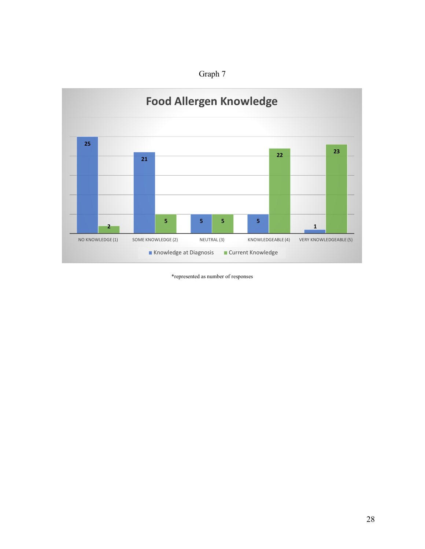



\*represented as number of responses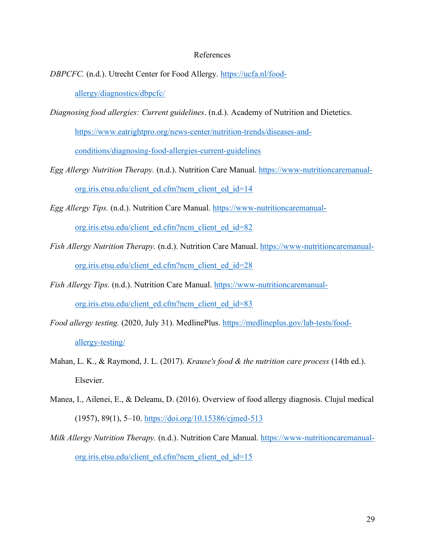#### References

*DBPCFC.* (n.d.). Utrecht Center for Food Allergy. [https://ucfa.nl/food-](https://ucfa.nl/food-allergy/diagnostics/dbpcfc/)

[allergy/diagnostics/dbpcfc/](https://ucfa.nl/food-allergy/diagnostics/dbpcfc/)

*Diagnosing food allergies: Current guidelines*. (n.d.). Academy of Nutrition and Dietetics.

[https://www.eatrightpro.org/news-center/nutrition-trends/diseases-and-](https://www.eatrightpro.org/news-center/nutrition-trends/diseases-and-conditions/diagnosing-food-allergies-current-guidelines)

[conditions/diagnosing-food-allergies-current-guidelines](https://www.eatrightpro.org/news-center/nutrition-trends/diseases-and-conditions/diagnosing-food-allergies-current-guidelines)

- *Egg Allergy Nutrition Therapy.* (n.d.). Nutrition Care Manual. [https://www-nutritioncaremanual](https://www-nutritioncaremanual-org.iris.etsu.edu/client_ed.cfm?ncm_client_ed_id=14)[org.iris.etsu.edu/client\\_ed.cfm?ncm\\_client\\_ed\\_id=14](https://www-nutritioncaremanual-org.iris.etsu.edu/client_ed.cfm?ncm_client_ed_id=14)
- *Egg Allergy Tips.* (n.d.). Nutrition Care Manual. [https://www-nutritioncaremanual-](https://www-nutritioncaremanual-org.iris.etsu.edu/client_ed.cfm?ncm_client_ed_id=82)

[org.iris.etsu.edu/client\\_ed.cfm?ncm\\_client\\_ed\\_id=82](https://www-nutritioncaremanual-org.iris.etsu.edu/client_ed.cfm?ncm_client_ed_id=82)

- *Fish Allergy Nutrition Therapy.* (n.d.). Nutrition Care Manual. [https://www-nutritioncaremanual](https://www-nutritioncaremanual-org.iris.etsu.edu/client_ed.cfm?ncm_client_ed_id=28)[org.iris.etsu.edu/client\\_ed.cfm?ncm\\_client\\_ed\\_id=28](https://www-nutritioncaremanual-org.iris.etsu.edu/client_ed.cfm?ncm_client_ed_id=28)
- *Fish Allergy Tips.* (n.d.). Nutrition Care Manual. [https://www-nutritioncaremanual](https://www-nutritioncaremanual-org.iris.etsu.edu/client_ed.cfm?ncm_client_ed_id=83)[org.iris.etsu.edu/client\\_ed.cfm?ncm\\_client\\_ed\\_id=83](https://www-nutritioncaremanual-org.iris.etsu.edu/client_ed.cfm?ncm_client_ed_id=83)
- *Food allergy testing.* (2020, July 31). MedlinePlus. [https://medlineplus.gov/lab-tests/food](https://medlineplus.gov/lab-tests/food-allergy-testing/)[allergy-testing/](https://medlineplus.gov/lab-tests/food-allergy-testing/)
- Mahan, L. K., & Raymond, J. L. (2017). *Krause's food & the nutrition care process* (14th ed.). Elsevier.
- Manea, I., Ailenei, E., & Deleanu, D. (2016). Overview of food allergy diagnosis. Clujul medical (1957), 89(1), 5–10.<https://doi.org/10.15386/cjmed-513>
- *Milk Allergy Nutrition Therapy.* (n.d.). Nutrition Care Manual. [https://www-nutritioncaremanual](https://www-nutritioncaremanual-org.iris.etsu.edu/client_ed.cfm?ncm_client_ed_id=15)[org.iris.etsu.edu/client\\_ed.cfm?ncm\\_client\\_ed\\_id=15](https://www-nutritioncaremanual-org.iris.etsu.edu/client_ed.cfm?ncm_client_ed_id=15)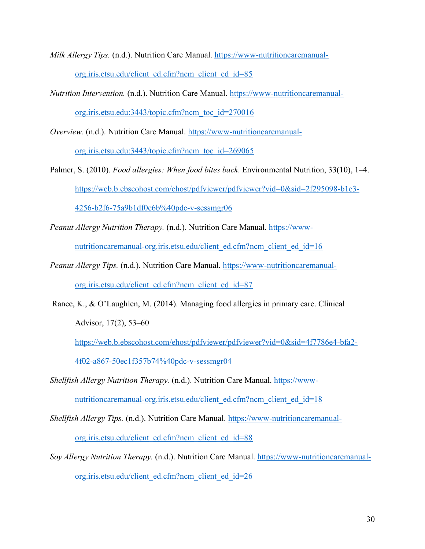*Milk Allergy Tips.* (n.d.). Nutrition Care Manual. [https://www-nutritioncaremanual](https://www-nutritioncaremanual-org.iris.etsu.edu/client_ed.cfm?ncm_client_ed_id=85)[org.iris.etsu.edu/client\\_ed.cfm?ncm\\_client\\_ed\\_id=85](https://www-nutritioncaremanual-org.iris.etsu.edu/client_ed.cfm?ncm_client_ed_id=85)

- *Nutrition Intervention.* (n.d.). Nutrition Care Manual. [https://www-nutritioncaremanual](https://www-nutritioncaremanual-org.iris.etsu.edu:3443/topic.cfm?ncm_toc_id=270016)[org.iris.etsu.edu:3443/topic.cfm?ncm\\_toc\\_id=270016](https://www-nutritioncaremanual-org.iris.etsu.edu:3443/topic.cfm?ncm_toc_id=270016)
- *Overview.* (n.d.). Nutrition Care Manual. [https://www-nutritioncaremanual](https://www-nutritioncaremanual-org.iris.etsu.edu:3443/topic.cfm?ncm_toc_id=269065)[org.iris.etsu.edu:3443/topic.cfm?ncm\\_toc\\_id=269065](https://www-nutritioncaremanual-org.iris.etsu.edu:3443/topic.cfm?ncm_toc_id=269065)
- Palmer, S. (2010). *Food allergies: When food bites back*. Environmental Nutrition, 33(10), 1–4. [https://web.b.ebscohost.com/ehost/pdfviewer/pdfviewer?vid=0&sid=2f295098-b1e3-](https://web.b.ebscohost.com/ehost/pdfviewer/pdfviewer?vid=0&sid=2f295098-b1e3-4256-b2f6-75a9b1df0e6b%40pdc-v-sessmgr06) [4256-b2f6-75a9b1df0e6b%40pdc-v-sessmgr06](https://web.b.ebscohost.com/ehost/pdfviewer/pdfviewer?vid=0&sid=2f295098-b1e3-4256-b2f6-75a9b1df0e6b%40pdc-v-sessmgr06)
- *Peanut Allergy Nutrition Therapy.* (n.d.). Nutrition Care Manual. [https://www](https://www-nutritioncaremanual-org.iris.etsu.edu/client_ed.cfm?ncm_client_ed_id=16)[nutritioncaremanual-org.iris.etsu.edu/client\\_ed.cfm?ncm\\_client\\_ed\\_id=16](https://www-nutritioncaremanual-org.iris.etsu.edu/client_ed.cfm?ncm_client_ed_id=16)
- *Peanut Allergy Tips.* (n.d.). Nutrition Care Manual. [https://www-nutritioncaremanual](https://www-nutritioncaremanual-org.iris.etsu.edu/client_ed.cfm?ncm_client_ed_id=87)[org.iris.etsu.edu/client\\_ed.cfm?ncm\\_client\\_ed\\_id=87](https://www-nutritioncaremanual-org.iris.etsu.edu/client_ed.cfm?ncm_client_ed_id=87)
- Rance, K., & O'Laughlen, M. (2014). Managing food allergies in primary care. Clinical Advisor, 17(2), 53–60

[https://web.b.ebscohost.com/ehost/pdfviewer/pdfviewer?vid=0&sid=4f7786e4-bfa2-](https://web.b.ebscohost.com/ehost/pdfviewer/pdfviewer?vid=0&sid=4f7786e4-bfa2-4f02-a867-50ec1f357b74%40pdc-v-sessmgr04) [4f02-a867-50ec1f357b74%40pdc-v-sessmgr04](https://web.b.ebscohost.com/ehost/pdfviewer/pdfviewer?vid=0&sid=4f7786e4-bfa2-4f02-a867-50ec1f357b74%40pdc-v-sessmgr04)

- *Shellfish Allergy Nutrition Therapy.* (n.d.). Nutrition Care Manual. [https://www](https://www-nutritioncaremanual-org.iris.etsu.edu/client_ed.cfm?ncm_client_ed_id=18)[nutritioncaremanual-org.iris.etsu.edu/client\\_ed.cfm?ncm\\_client\\_ed\\_id=18](https://www-nutritioncaremanual-org.iris.etsu.edu/client_ed.cfm?ncm_client_ed_id=18)
- *Shellfish Allergy Tips.* (n.d.). Nutrition Care Manual. [https://www-nutritioncaremanual](https://www-nutritioncaremanual-org.iris.etsu.edu/client_ed.cfm?ncm_client_ed_id=88)[org.iris.etsu.edu/client\\_ed.cfm?ncm\\_client\\_ed\\_id=88](https://www-nutritioncaremanual-org.iris.etsu.edu/client_ed.cfm?ncm_client_ed_id=88)
- *Soy Allergy Nutrition Therapy.* (n.d.). Nutrition Care Manual. [https://www-nutritioncaremanual](https://www-nutritioncaremanual-org.iris.etsu.edu/client_ed.cfm?ncm_client_ed_id=26)[org.iris.etsu.edu/client\\_ed.cfm?ncm\\_client\\_ed\\_id=26](https://www-nutritioncaremanual-org.iris.etsu.edu/client_ed.cfm?ncm_client_ed_id=26)